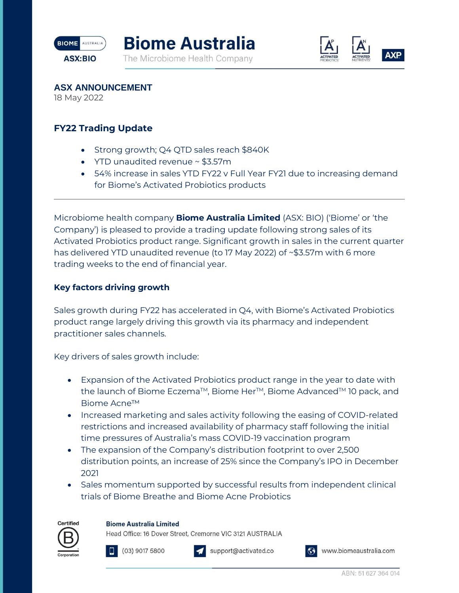





**ASX ANNOUNCEMENT**

18 May 2022

# **FY22 Trading Update**

- Strong growth; Q4 QTD sales reach \$840K
- YTD unaudited revenue ~ \$3.57m
- 54% increase in sales YTD FY22 v Full Year FY21 due to increasing demand for Biome's Activated Probiotics products

Microbiome health company **Biome Australia Limited** (ASX: BIO) ('Biome' or 'the Company') is pleased to provide a trading update following strong sales of its Activated Probiotics product range. Significant growth in sales in the current quarter has delivered YTD unaudited revenue (to 17 May 2022) of ~\$3.57m with 6 more trading weeks to the end of financial year.

## **Key factors driving growth**

Sales growth during FY22 has accelerated in Q4, with Biome's Activated Probiotics product range largely driving this growth via its pharmacy and independent practitioner sales channels.

Key drivers of sales growth include:

- Expansion of the Activated Probiotics product range in the year to date with the launch of Biome Eczema™, Biome Her<sup>™</sup>, Biome Advanced™ 10 pack, and Biome Acne™
- Increased marketing and sales activity following the easing of COVID-related restrictions and increased availability of pharmacy staff following the initial time pressures of Australia's mass COVID-19 vaccination program
- The expansion of the Company's distribution footprint to over 2,500 distribution points, an increase of 25% since the Company's IPO in December 2021
- Sales momentum supported by successful results from independent clinical trials of Biome Breathe and Biome Acne Probiotics

### **Biome Australia Limited**

Head Office: 16 Dover Street, Cremorne VIC 3121 AUSTRALIA



Certified

 $(03)$  9017 5800



support@activated.co



www.biomeaustralia.com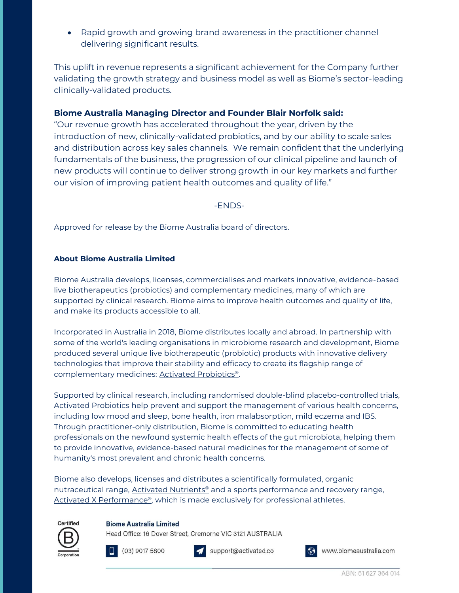• Rapid growth and growing brand awareness in the practitioner channel delivering significant results.

This uplift in revenue represents a significant achievement for the Company further validating the growth strategy and business model as well as Biome's sector-leading clinically-validated products.

## **Biome Australia Managing Director and Founder Blair Norfolk said:**

"Our revenue growth has accelerated throughout the year, driven by the introduction of new, clinically-validated probiotics, and by our ability to scale sales and distribution across key sales channels. We remain confident that the underlying fundamentals of the business, the progression of our clinical pipeline and launch of new products will continue to deliver strong growth in our key markets and further our vision of improving patient health outcomes and quality of life."

-ENDS-

Approved for release by the Biome Australia board of directors.

### **About Biome Australia Limited**

Biome Australia develops, licenses, commercialises and markets innovative, evidence-based live biotherapeutics (probiotics) and complementary medicines, many of which are supported by clinical research. Biome aims to improve health outcomes and quality of life, and make its products accessible to all.

Incorporated in Australia in 2018, Biome distributes locally and abroad. In partnership with some of the world's leading organisations in microbiome research and development, Biome produced several unique live biotherapeutic (probiotic) products with innovative delivery technologies that improve their stability and efficacy to create its flagship range of complementary medicine[s:](https://activatedprobiotics.com.au/) [Activated Probiotics](https://activatedprobiotics.com.au/)®.

Supported by clinical research, including randomised double-blind placebo-controlled trial[s,](https://activatedprobiotics.com.au/) [Activated Probiotics](https://activatedprobiotics.com.au/) help prevent and support the management of various health concerns, including low mood and sleep, bone health, iron malabsorption, mild eczema and IBS. Through practitioner-only distribution, Biome is committed to educating health professionals on the newfound systemic health effects of the gut microbiota, helping them to provide innovative, evidence-based natural medicines for the management of some of humanity's most prevalent and chronic health concerns.

Biome also develops, licenses and distributes a scientifically formulated, organic nutraceutical range[,](https://activatedxperformance.com.au/) **[Activated Nutrients](https://activatednutrients.com/)®** and a sports performance and recovery range, [Activated X Performance](https://activatedxperformance.com.au/)<sup>®</sup>, which is made exclusively for professional athletes.

### **Biome Australia Limited**

Head Office: 16 Dover Street, Cremorne VIC 3121 AUSTRALIA



Certified



support@activated.co



Www.biomeaustralia.com